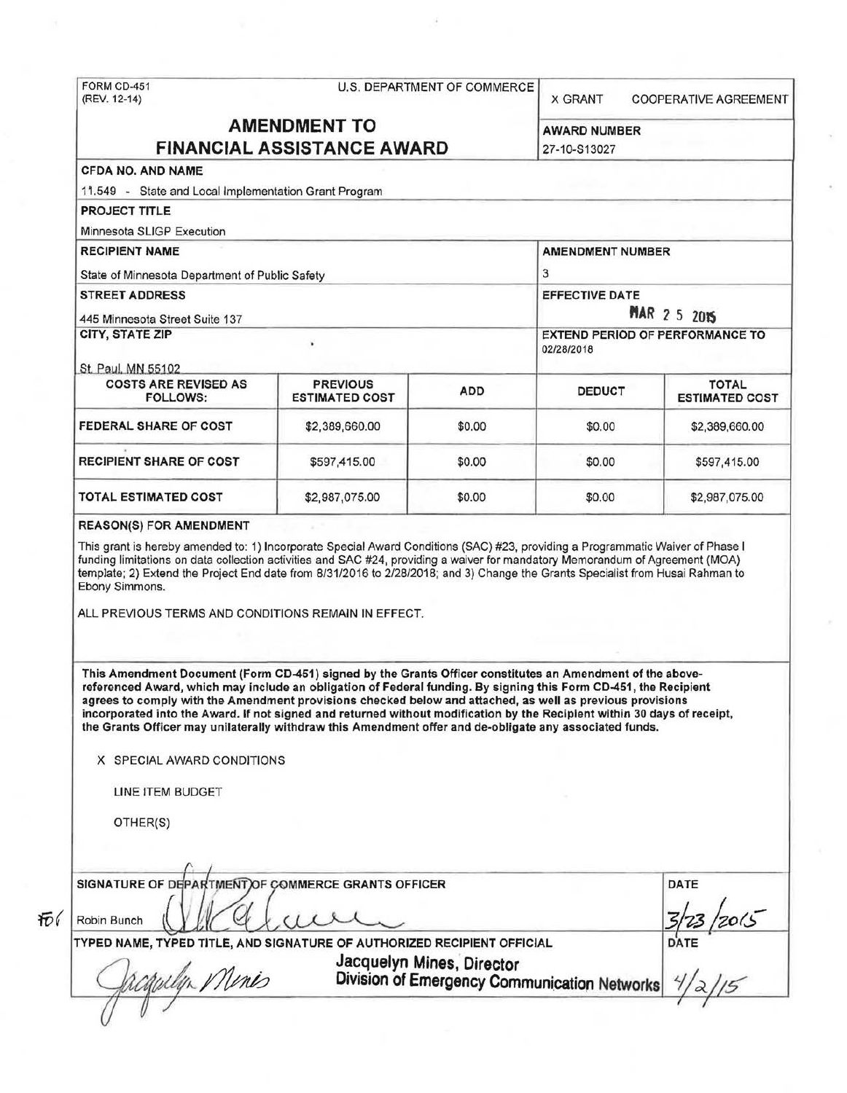# FORM CD-451 U.S. DEPARTMENT OF COMMERCE<br>(REV. 12-14)

X GRANT COOPERATIVE AGREEMENT

## AMENDMENT TO AWARD NUMBER FINANCIAL ASSISTANCE AWARD 27-10-S13027

## CFDA NO. AND NAME

1 1.549 - State and Local Implementation Grant Program

PROJECT TITLE

Minnesota SLIGP Execution

RECIPIENT NAME AMERICAN CONTROL AMERICAN CONTROL AMERICAN CONTROL AMERICAN CONTROL AMERICAN CONTROL AMERICAN CONTROL AMERICAN CONTROL AMERICAN CONTROL AMERICAN CONTROL AMERICAN CONTROL AMERICAN CONTROL AMERICAN CONTROL AME State of Minnesota Department of Public Safety 3 STREET ADDRESS EFFECTIVE DATE ext Ad5 Minnesota Street Suite 137<br>CITY, STATE ZIP EXTEND PERIOD OF PERFORMANCE TO 02/28/2018 St. Paul. MN 55102 COSTS ARE REVISED AS PREVIOUS ADD DEDUCT FOTAL TOTAL TOTAL TOTAL TOTAL PREVIOUS **ESTIMATED COST** 

**FEDERAL SHARE OF COST**  \$2,389,660.00 \$0.00 \$0.00 \$0.00 \$2,389,660.00 RECIPIENT SHARE OF COST  $$597,415.00$   $$0.00$  \$0.00 \$597,415.00 TOTAL ESTIMATED COST  $$2,987,075.00$   $$0.00$   $$32,987,075.00$ 

#### REASON(S) FOR AMENDMENT

This grant is hereby amended to: 1) Incorporate Special Award Conditions (SAC) #23, providing a Programmatic Waiver of Phase I funding limitations on data collection activities and SAC #24, providing a waiver for mandatory Memorandum of Agreement (MOA) template; 2) Extend the Project End date from 8/31/2016 to 2/28/2018; and 3) Change the Grants Specialist from Husai Rahman to Ebony Simmons.

ALL PREVIOUS TERMS AND CONDITIONS REMAIN IN EFFECT.

This Amendment Document (Form CD-451) signed by the Grants Officer constitutes an Amendment of the abovereferenced Award, which may include an obligation of Federal funding. By signing this Form CD-451, the Recipient agrees to comply with the Amendment provisions checked below and attached, as well as previous provisions incorporated into the Award. If not signed and returned without modification by the Recipient within 30 days of receipt, the Grants Officer may unilaterally withdraw this Amendment offer and de-obligate any associated funds.

X SPECIAL AWARD CONDITIONS

LINE ITEM BUDGET

OTHER(S)

SIGNATURE OF DEPARTMENT OF COMMERCE GRANTS OFFICER DATE  $\sim$   $/$ Robin Bunch { *<sup>V</sup> y·* tr /~ 3~3kots- TYPED NAME, TYPED TITLE, AND SIGNATURE OF AUTHORIZED RECIPIENT OFFICIAL DATE OF AUTHORIZED RECIPIENT OFFICIAL<br>Jacquelyn Mines, Director<br>Division of Emergency Communication Networks 7/2/5 Юí Jacquelyn Mines, Director<br>Division of Emergency Com (/ *u* / I I